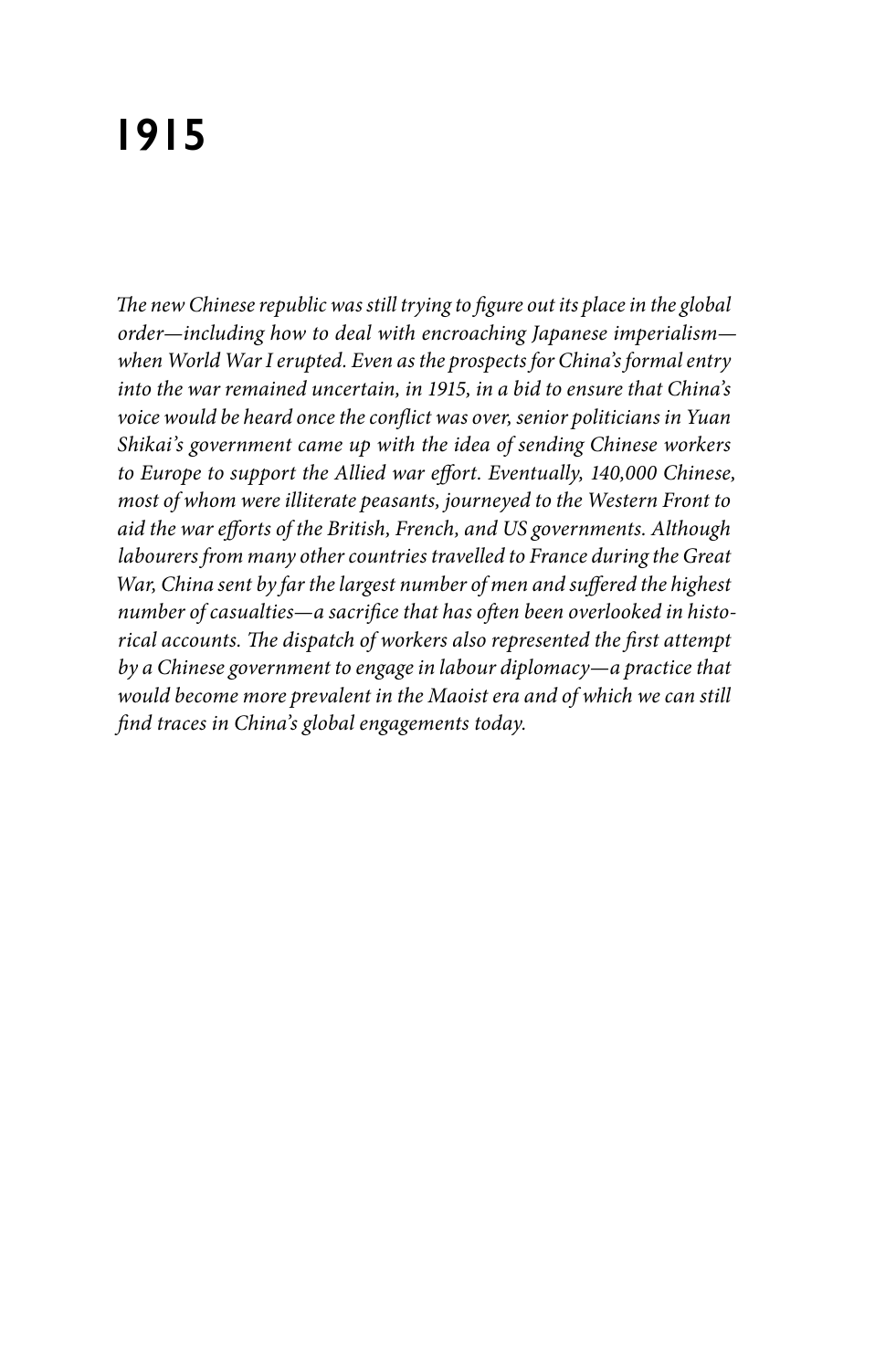## **1915**

*The new Chinese republic was still trying to figure out its place in the global order—including how to deal with encroaching Japanese imperialism when World War I erupted. Even as the prospects for China's formal entry into the war remained uncertain, in 1915, in a bid to ensure that China's voice would be heard once the conflict was over, senior politicians in Yuan Shikai's government came up with the idea of sending Chinese workers to Europe to support the Allied war effort. Eventually, 140,000 Chinese, most of whom were illiterate peasants, journeyed to the Western Front to aid the war efforts of the British, French, and US governments. Although labourers from many other countries travelled to France during the Great War, China sent by far the largest number of men and suffered the highest number of casualties—a sacrifice that has often been overlooked in historical accounts. The dispatch of workers also represented the first attempt by a Chinese government to engage in labour diplomacy—a practice that would become more prevalent in the Maoist era and of which we can still find traces in China's global engagements today.*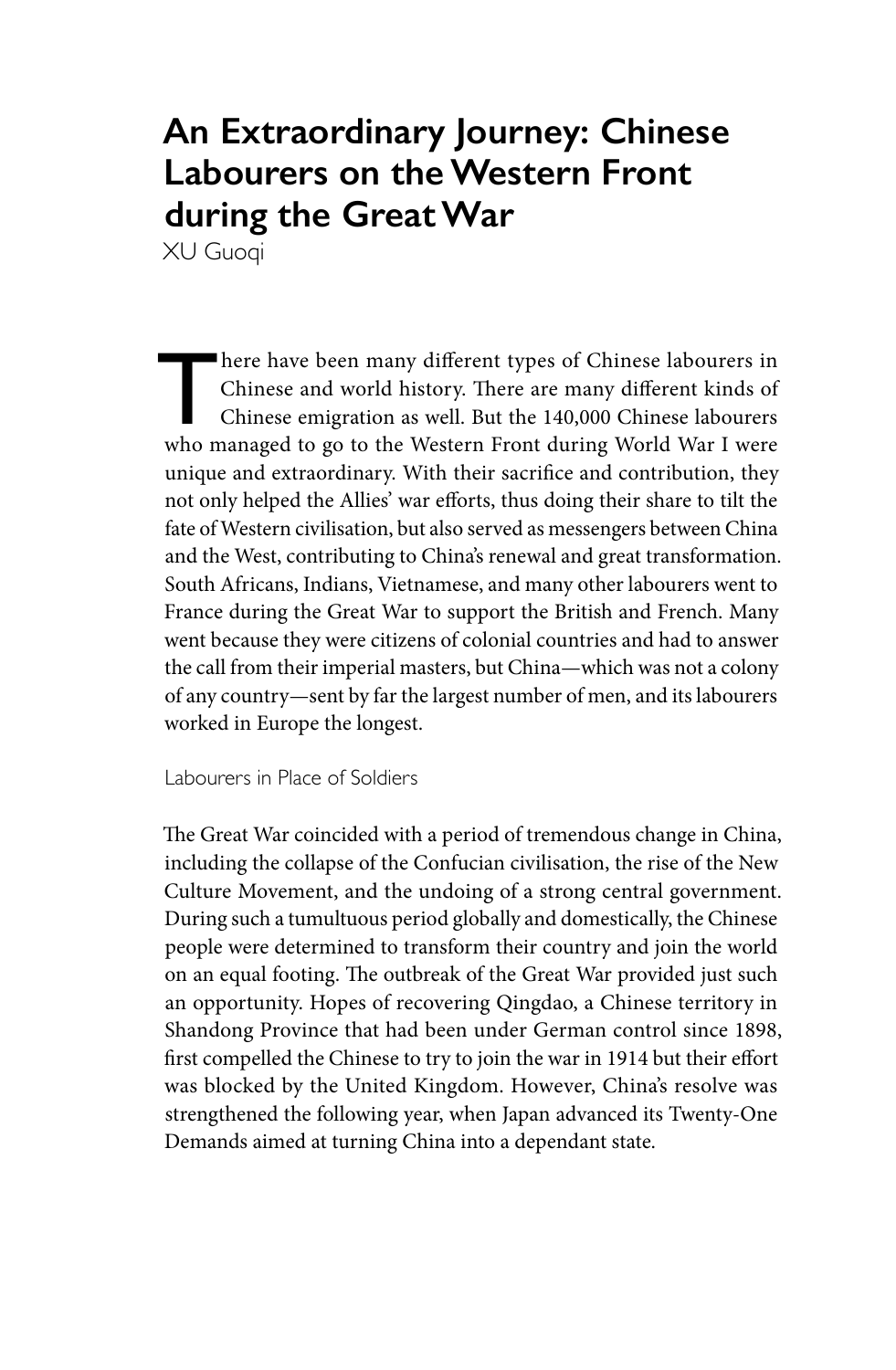## **An Extraordinary Journey: Chinese Labourers on the Western Front during the Great War**

XU Guoqi

here have been many different types of Chinese labourers in<br>
Chinese and world history. There are many different kinds of<br>
Chinese emigration as well. But the 140,000 Chinese labourers<br>
who managed to so to the Western Fro Chinese and world history. There are many different kinds of who managed to go to the Western Front during World War I were unique and extraordinary. With their sacrifice and contribution, they not only helped the Allies' war efforts, thus doing their share to tilt the fate of Western civilisation, but also served as messengers between China and the West, contributing to China's renewal and great transformation. South Africans, Indians, Vietnamese, and many other labourers went to France during the Great War to support the British and French. Many went because they were citizens of colonial countries and had to answer the call from their imperial masters, but China—which was not a colony of any country—sent by far the largest number of men, and its labourers worked in Europe the longest.

Labourers in Place of Soldiers

The Great War coincided with a period of tremendous change in China, including the collapse of the Confucian civilisation, the rise of the New Culture Movement, and the undoing of a strong central government. During such a tumultuous period globally and domestically, the Chinese people were determined to transform their country and join the world on an equal footing. The outbreak of the Great War provided just such an opportunity. Hopes of recovering Qingdao, a Chinese territory in Shandong Province that had been under German control since 1898, first compelled the Chinese to try to join the war in 1914 but their effort was blocked by the United Kingdom. However, China's resolve was strengthened the following year, when Japan advanced its Twenty-One Demands aimed at turning China into a dependant state.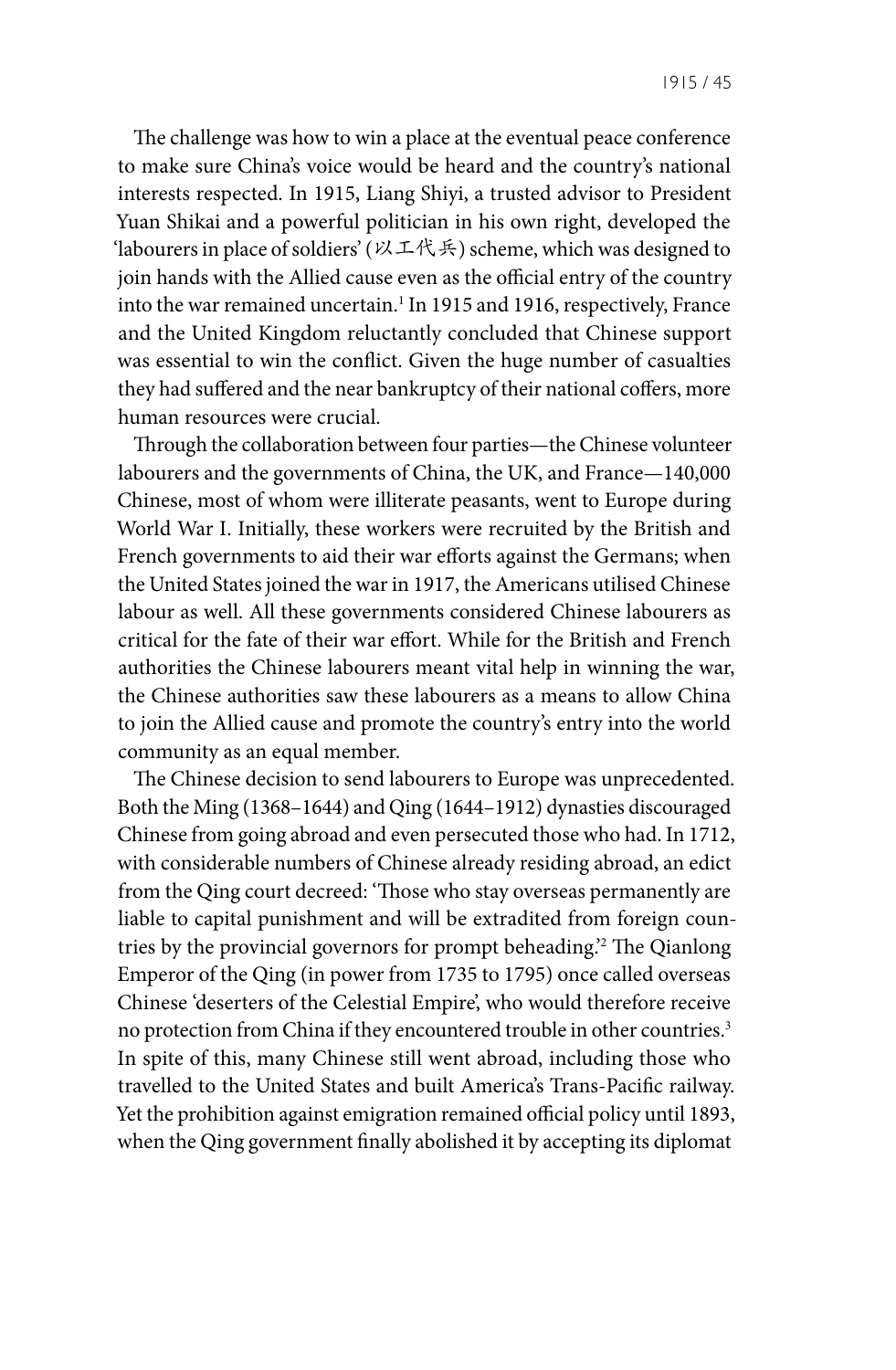The challenge was how to win a place at the eventual peace conference to make sure China's voice would be heard and the country's national interests respected. In 1915, Liang Shiyi, a trusted advisor to President Yuan Shikai and a powerful politician in his own right, developed the 'labourers in place of soldiers' (以工代兵) scheme, which was designed to join hands with the Allied cause even as the official entry of the country into the war remained uncertain.<sup>1</sup> In 1915 and 1916, respectively, France and the United Kingdom reluctantly concluded that Chinese support was essential to win the conflict. Given the huge number of casualties they had suffered and the near bankruptcy of their national coffers, more human resources were crucial.

Through the collaboration between four parties—the Chinese volunteer labourers and the governments of China, the UK, and France—140,000 Chinese, most of whom were illiterate peasants, went to Europe during World War I. Initially, these workers were recruited by the British and French governments to aid their war efforts against the Germans; when the United States joined the war in 1917, the Americans utilised Chinese labour as well. All these governments considered Chinese labourers as critical for the fate of their war effort. While for the British and French authorities the Chinese labourers meant vital help in winning the war, the Chinese authorities saw these labourers as a means to allow China to join the Allied cause and promote the country's entry into the world community as an equal member.

The Chinese decision to send labourers to Europe was unprecedented. Both the Ming (1368–1644) and Qing (1644–1912) dynasties discouraged Chinese from going abroad and even persecuted those who had. In 1712, with considerable numbers of Chinese already residing abroad, an edict from the Qing court decreed: 'Those who stay overseas permanently are liable to capital punishment and will be extradited from foreign countries by the provincial governors for prompt beheading.'2 The Qianlong Emperor of the Qing (in power from 1735 to 1795) once called overseas Chinese 'deserters of the Celestial Empire', who would therefore receive no protection from China if they encountered trouble in other countries.<sup>3</sup> In spite of this, many Chinese still went abroad, including those who travelled to the United States and built America's Trans-Pacific railway. Yet the prohibition against emigration remained official policy until 1893, when the Qing government finally abolished it by accepting its diplomat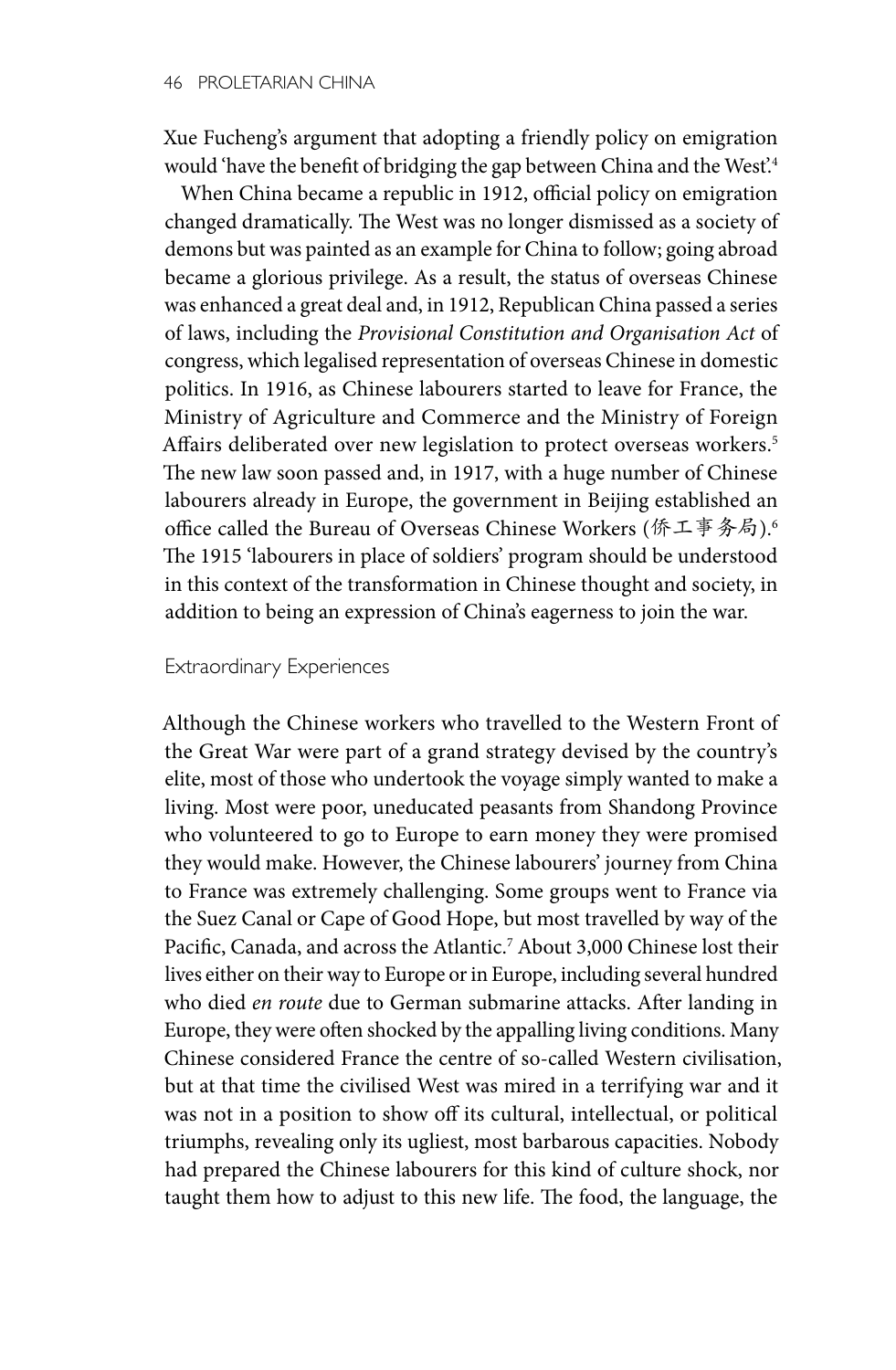Xue Fucheng's argument that adopting a friendly policy on emigration would 'have the benefit of bridging the gap between China and the West'.4

When China became a republic in 1912, official policy on emigration changed dramatically. The West was no longer dismissed as a society of demons but was painted as an example for China to follow; going abroad became a glorious privilege. As a result, the status of overseas Chinese was enhanced a great deal and, in 1912, Republican China passed a series of laws, including the *Provisional Constitution and Organisation Act* of congress, which legalised representation of overseas Chinese in domestic politics. In 1916, as Chinese labourers started to leave for France, the Ministry of Agriculture and Commerce and the Ministry of Foreign Affairs deliberated over new legislation to protect overseas workers.<sup>5</sup> The new law soon passed and, in 1917, with a huge number of Chinese labourers already in Europe, the government in Beijing established an office called the Bureau of Overseas Chinese Workers (侨工事务局).6 The 1915 'labourers in place of soldiers' program should be understood in this context of the transformation in Chinese thought and society, in addition to being an expression of China's eagerness to join the war.

## Extraordinary Experiences

Although the Chinese workers who travelled to the Western Front of the Great War were part of a grand strategy devised by the country's elite, most of those who undertook the voyage simply wanted to make a living. Most were poor, uneducated peasants from Shandong Province who volunteered to go to Europe to earn money they were promised they would make. However, the Chinese labourers' journey from China to France was extremely challenging. Some groups went to France via the Suez Canal or Cape of Good Hope, but most travelled by way of the Pacific, Canada, and across the Atlantic.<sup>7</sup> About 3,000 Chinese lost their lives either on their way to Europe or in Europe, including several hundred who died *en route* due to German submarine attacks. After landing in Europe, they were often shocked by the appalling living conditions. Many Chinese considered France the centre of so-called Western civilisation, but at that time the civilised West was mired in a terrifying war and it was not in a position to show off its cultural, intellectual, or political triumphs, revealing only its ugliest, most barbarous capacities. Nobody had prepared the Chinese labourers for this kind of culture shock, nor taught them how to adjust to this new life. The food, the language, the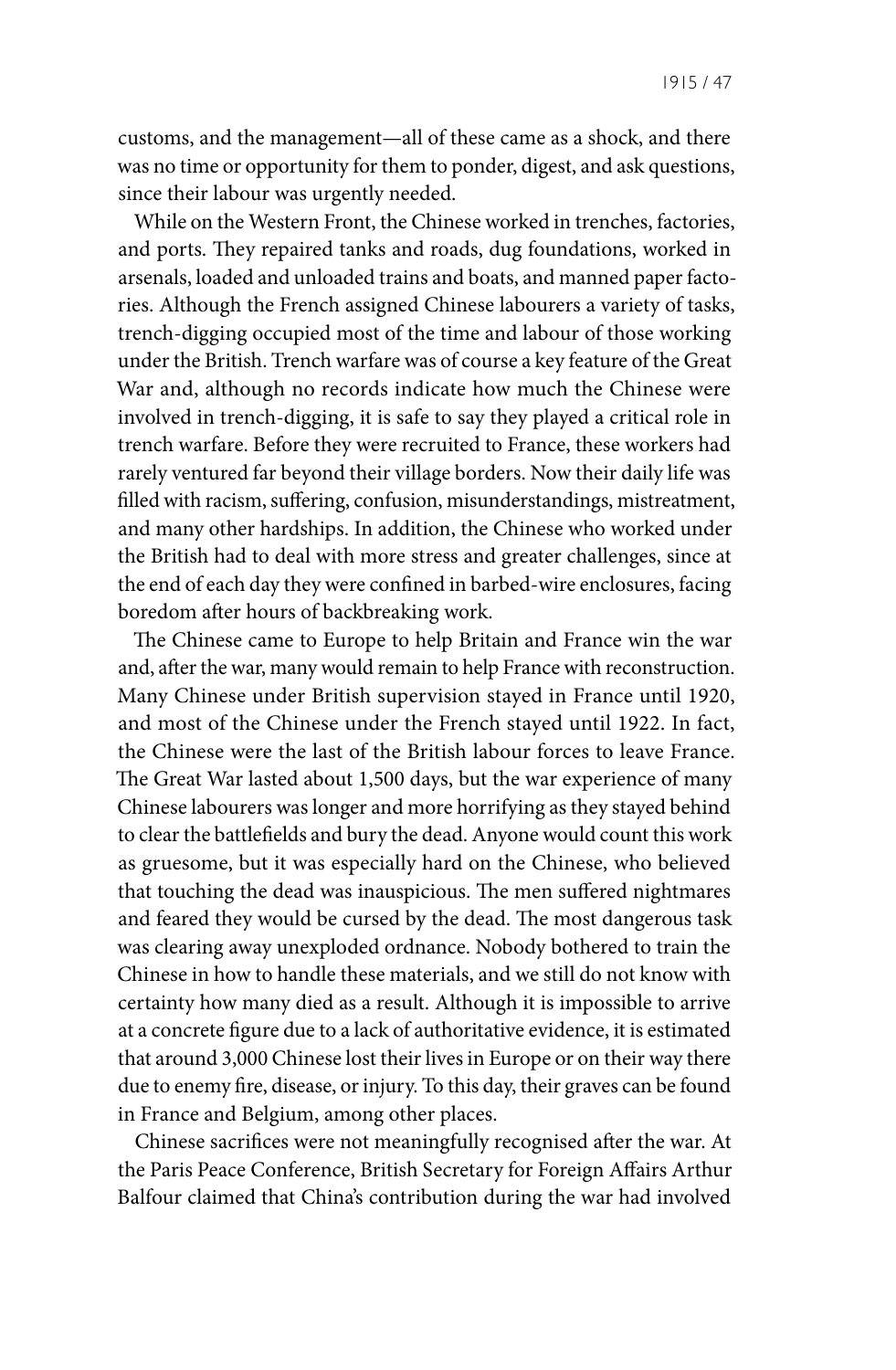customs, and the management—all of these came as a shock, and there was no time or opportunity for them to ponder, digest, and ask questions, since their labour was urgently needed.

While on the Western Front, the Chinese worked in trenches, factories, and ports. They repaired tanks and roads, dug foundations, worked in arsenals, loaded and unloaded trains and boats, and manned paper factories. Although the French assigned Chinese labourers a variety of tasks, trench-digging occupied most of the time and labour of those working under the British. Trench warfare was of course a key feature of the Great War and, although no records indicate how much the Chinese were involved in trench-digging, it is safe to say they played a critical role in trench warfare. Before they were recruited to France, these workers had rarely ventured far beyond their village borders. Now their daily life was filled with racism, suffering, confusion, misunderstandings, mistreatment, and many other hardships. In addition, the Chinese who worked under the British had to deal with more stress and greater challenges, since at the end of each day they were confined in barbed-wire enclosures, facing boredom after hours of backbreaking work.

The Chinese came to Europe to help Britain and France win the war and, after the war, many would remain to help France with reconstruction. Many Chinese under British supervision stayed in France until 1920, and most of the Chinese under the French stayed until 1922. In fact, the Chinese were the last of the British labour forces to leave France. The Great War lasted about 1,500 days, but the war experience of many Chinese labourers was longer and more horrifying as they stayed behind to clear the battlefields and bury the dead. Anyone would count this work as gruesome, but it was especially hard on the Chinese, who believed that touching the dead was inauspicious. The men suffered nightmares and feared they would be cursed by the dead. The most dangerous task was clearing away unexploded ordnance. Nobody bothered to train the Chinese in how to handle these materials, and we still do not know with certainty how many died as a result. Although it is impossible to arrive at a concrete figure due to a lack of authoritative evidence, it is estimated that around 3,000 Chinese lost their lives in Europe or on their way there due to enemy fire, disease, or injury. To this day, their graves can be found in France and Belgium, among other places.

Chinese sacrifices were not meaningfully recognised after the war. At the Paris Peace Conference, British Secretary for Foreign Affairs Arthur Balfour claimed that China's contribution during the war had involved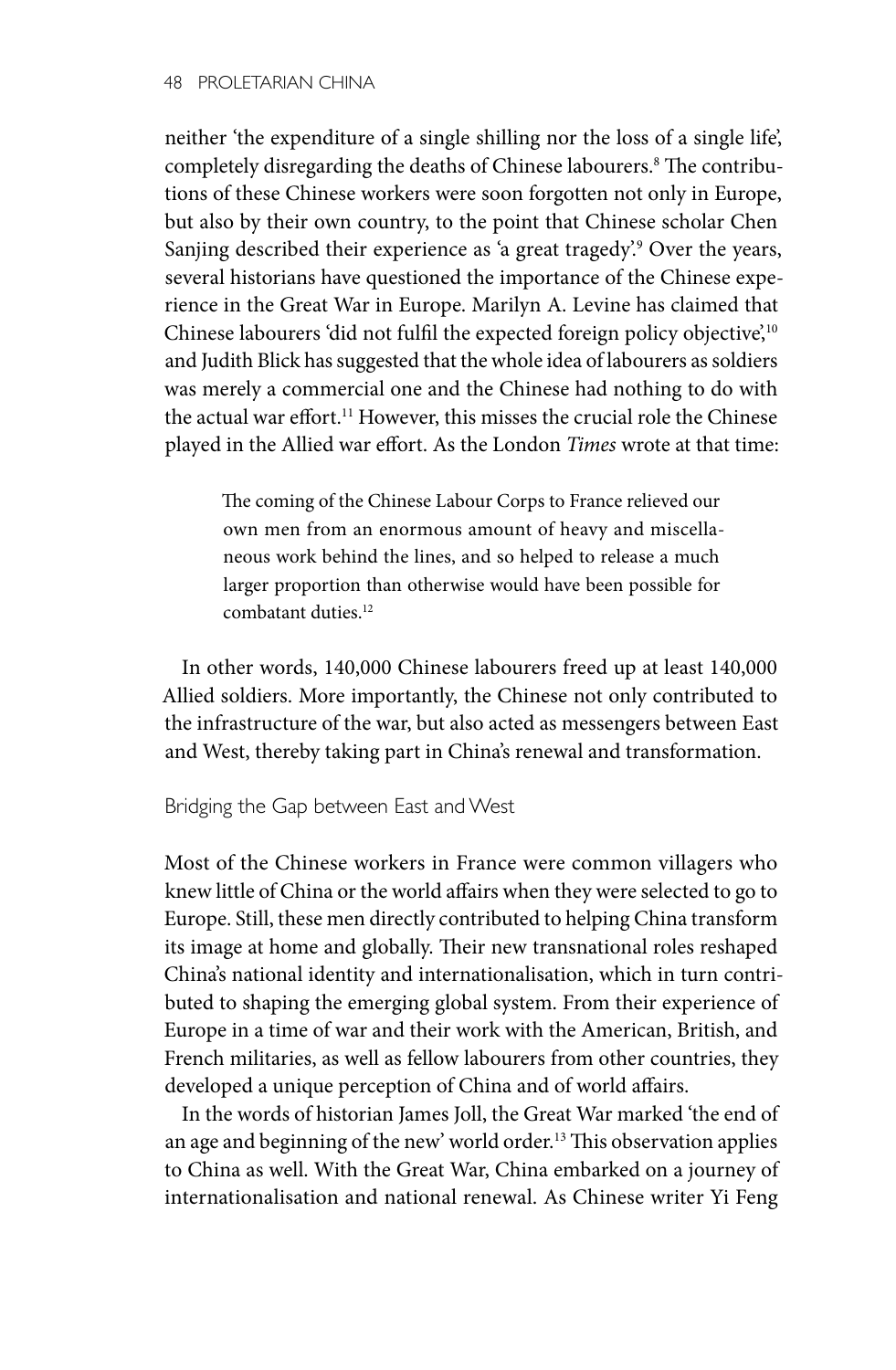neither 'the expenditure of a single shilling nor the loss of a single life', completely disregarding the deaths of Chinese labourers.<sup>8</sup> The contributions of these Chinese workers were soon forgotten not only in Europe, but also by their own country, to the point that Chinese scholar Chen Sanjing described their experience as 'a great tragedy'.9 Over the years, several historians have questioned the importance of the Chinese experience in the Great War in Europe. Marilyn A. Levine has claimed that Chinese labourers 'did not fulfil the expected foreign policy objective',<sup>10</sup> and Judith Blick has suggested that the whole idea of labourers as soldiers was merely a commercial one and the Chinese had nothing to do with the actual war effort.<sup>11</sup> However, this misses the crucial role the Chinese played in the Allied war effort. As the London *Times* wrote at that time:

The coming of the Chinese Labour Corps to France relieved our own men from an enormous amount of heavy and miscellaneous work behind the lines, and so helped to release a much larger proportion than otherwise would have been possible for combatant duties.12

In other words, 140,000 Chinese labourers freed up at least 140,000 Allied soldiers. More importantly, the Chinese not only contributed to the infrastructure of the war, but also acted as messengers between East and West, thereby taking part in China's renewal and transformation.

Bridging the Gap between East and West

Most of the Chinese workers in France were common villagers who knew little of China or the world affairs when they were selected to go to Europe. Still, these men directly contributed to helping China transform its image at home and globally. Their new transnational roles reshaped China's national identity and internationalisation, which in turn contributed to shaping the emerging global system. From their experience of Europe in a time of war and their work with the American, British, and French militaries, as well as fellow labourers from other countries, they developed a unique perception of China and of world affairs.

In the words of historian James Joll, the Great War marked 'the end of an age and beginning of the new' world order.13 This observation applies to China as well. With the Great War, China embarked on a journey of internationalisation and national renewal. As Chinese writer Yi Feng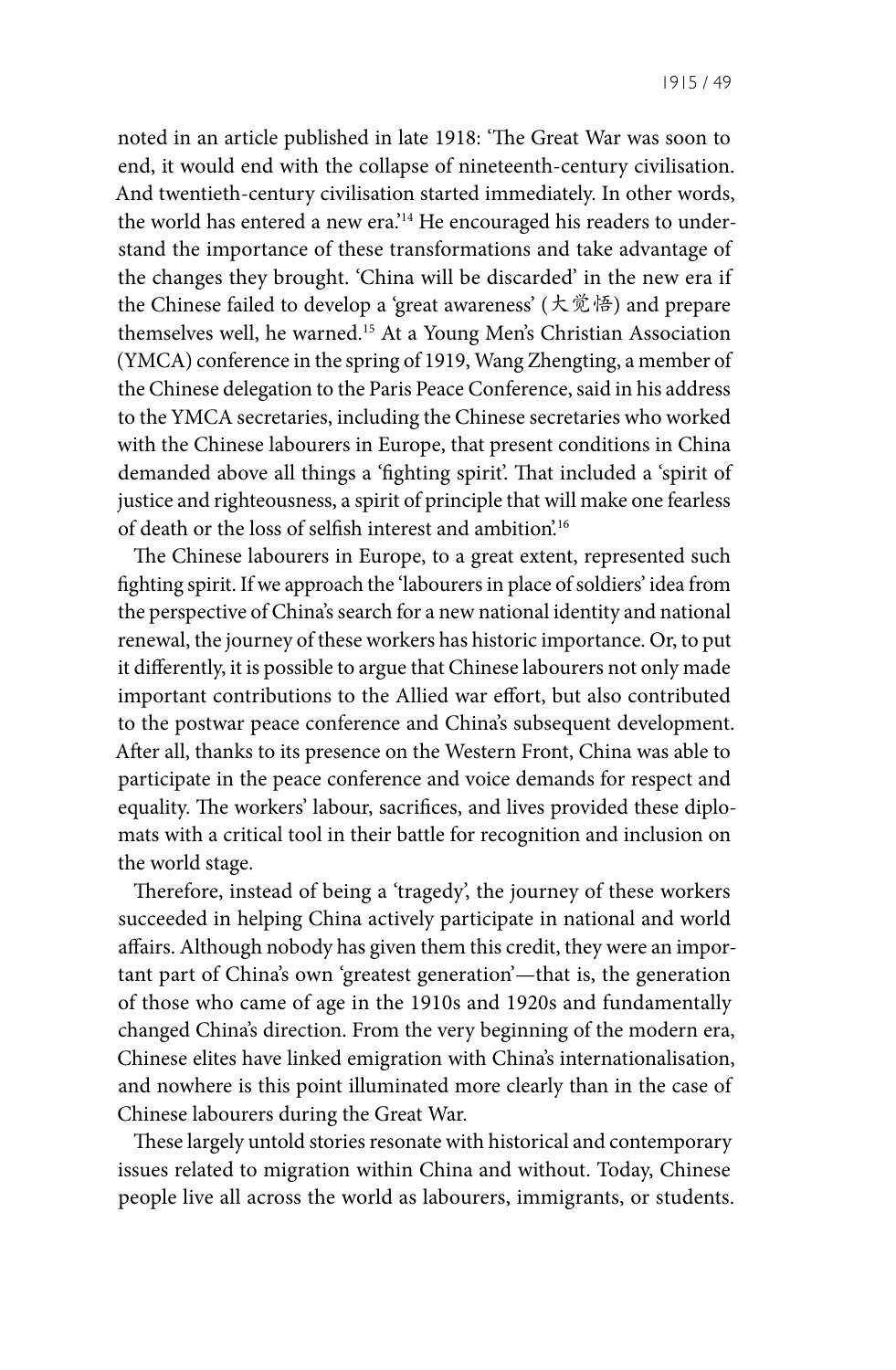noted in an article published in late 1918: 'The Great War was soon to end, it would end with the collapse of nineteenth-century civilisation. And twentieth-century civilisation started immediately. In other words, the world has entered a new era.'<sup>14</sup> He encouraged his readers to understand the importance of these transformations and take advantage of the changes they brought. 'China will be discarded' in the new era if the Chinese failed to develop a 'great awareness' (大觉悟) and prepare themselves well, he warned.15 At a Young Men's Christian Association (YMCA) conference in the spring of 1919, Wang Zhengting, a member of the Chinese delegation to the Paris Peace Conference, said in his address to the YMCA secretaries, including the Chinese secretaries who worked with the Chinese labourers in Europe, that present conditions in China demanded above all things a 'fighting spirit'. That included a 'spirit of justice and righteousness, a spirit of principle that will make one fearless of death or the loss of selfish interest and ambition'.16

The Chinese labourers in Europe, to a great extent, represented such fighting spirit. If we approach the 'labourers in place of soldiers' idea from the perspective of China's search for a new national identity and national renewal, the journey of these workers has historic importance. Or, to put it differently, it is possible to argue that Chinese labourers not only made important contributions to the Allied war effort, but also contributed to the postwar peace conference and China's subsequent development. After all, thanks to its presence on the Western Front, China was able to participate in the peace conference and voice demands for respect and equality. The workers' labour, sacrifices, and lives provided these diplomats with a critical tool in their battle for recognition and inclusion on the world stage.

Therefore, instead of being a 'tragedy', the journey of these workers succeeded in helping China actively participate in national and world affairs. Although nobody has given them this credit, they were an important part of China's own 'greatest generation'—that is, the generation of those who came of age in the 1910s and 1920s and fundamentally changed China's direction. From the very beginning of the modern era, Chinese elites have linked emigration with China's internationalisation, and nowhere is this point illuminated more clearly than in the case of Chinese labourers during the Great War.

These largely untold stories resonate with historical and contemporary issues related to migration within China and without. Today, Chinese people live all across the world as labourers, immigrants, or students.